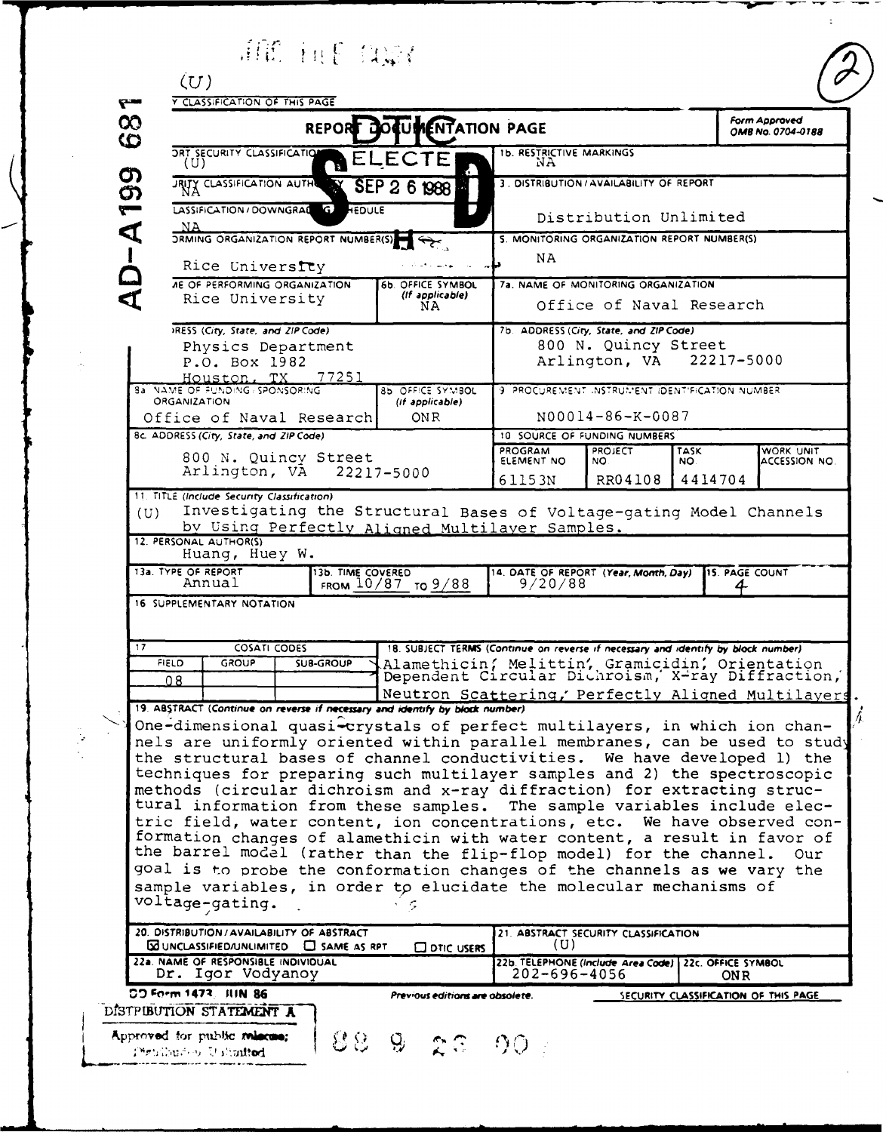ATE THE CONT (U)<br><u>Y CLASSIFICATION OF THIS PAGE</u>

 $\mathbf{r}$ 

| Approved<br>No. 0704-0188 |  |
|---------------------------|--|
|                           |  |

| $\infty$<br>ဇ                                                                                                                                          | Form Approved<br>REPORT DOCUMENTATION PAGE<br>OMB No. 0704-0188                                                                                                                                                |  |                   |                                                                                                                                                      |                                                                                   |                |           |                                      |  |
|--------------------------------------------------------------------------------------------------------------------------------------------------------|----------------------------------------------------------------------------------------------------------------------------------------------------------------------------------------------------------------|--|-------------------|------------------------------------------------------------------------------------------------------------------------------------------------------|-----------------------------------------------------------------------------------|----------------|-----------|--------------------------------------|--|
|                                                                                                                                                        | <b>ORT SECURITY CLASSIFICATION</b><br>(U)                                                                                                                                                                      |  | ΕI                | LECTE                                                                                                                                                | <b>1b. RESTRICTIVE MARKINGS</b><br>NA                                             |                |           |                                      |  |
| $D - A 199$                                                                                                                                            | JRITY CLASSIFICATION AUTH                                                                                                                                                                                      |  | <b>IN Y</b>       | SEP 2 6 1988                                                                                                                                         | 3. DISTRIBUTION / AVAILABILITY OF REPORT                                          |                |           |                                      |  |
|                                                                                                                                                        | LASSIFICATION/DOWNGRAL G HEDULE                                                                                                                                                                                |  |                   |                                                                                                                                                      | Distribution Unlimited                                                            |                |           |                                      |  |
|                                                                                                                                                        | NA<br><b>DRMING ORGANIZATION REPORT NUMBER(S)</b>                                                                                                                                                              |  |                   |                                                                                                                                                      | 5. MONITORING ORGANIZATION REPORT NUMBER(S)                                       |                |           |                                      |  |
|                                                                                                                                                        | Rice University                                                                                                                                                                                                |  |                   |                                                                                                                                                      | NA                                                                                |                |           |                                      |  |
|                                                                                                                                                        | <b><i>AE OF PERFORMING ORGANIZATION</i></b>                                                                                                                                                                    |  |                   | 6b. OFFICE SYMBOL                                                                                                                                    | 7a. NAME OF MONITORING ORGANIZATION                                               |                |           |                                      |  |
|                                                                                                                                                        | Rice University                                                                                                                                                                                                |  |                   | (If applicable)<br>NA.                                                                                                                               | Office of Naval Research                                                          |                |           |                                      |  |
|                                                                                                                                                        | IRESS (City, State, and ZIP Code)                                                                                                                                                                              |  |                   |                                                                                                                                                      | 7b. ADDRESS (City, State, and ZIP Code)                                           |                |           |                                      |  |
| Physics Department<br>P.O. Box 1982                                                                                                                    |                                                                                                                                                                                                                |  |                   |                                                                                                                                                      | 800 N. Quincy Street<br>22217-5000<br>Arlington, VA                               |                |           |                                      |  |
|                                                                                                                                                        | 77251<br>Houston, TX<br><b>BA NAME OF FUNDING / SPONSORING</b><br>85 OFFICE SYMBOL                                                                                                                             |  |                   |                                                                                                                                                      |                                                                                   |                |           |                                      |  |
|                                                                                                                                                        | <b>ORGANIZATION</b>                                                                                                                                                                                            |  |                   | (If applicable)                                                                                                                                      | 9 PROCUREMENT INSTRUMENT IDENTIFICATION NUMBER                                    |                |           |                                      |  |
|                                                                                                                                                        | Office of Naval Research                                                                                                                                                                                       |  |                   | ON R                                                                                                                                                 | N00014-86-K-0087<br>10 SOURCE OF FUNDING NUMBERS                                  |                |           |                                      |  |
|                                                                                                                                                        | 8c. ADDRESS (City, State, and ZIP Code)                                                                                                                                                                        |  |                   |                                                                                                                                                      | PROGRAM                                                                           | <b>PROJECT</b> | WORK UNIT |                                      |  |
|                                                                                                                                                        | 800 N. Quincy Street<br>Arlington, VA                                                                                                                                                                          |  |                   | 22217-5000                                                                                                                                           | ELEMENT NO                                                                        | NO.            | NO.       | ACCESSION NO.                        |  |
|                                                                                                                                                        | 11. TITLE (Include Security Classification)                                                                                                                                                                    |  |                   |                                                                                                                                                      | 61153N                                                                            | RR04108        | 4414704   |                                      |  |
| (U)                                                                                                                                                    |                                                                                                                                                                                                                |  |                   | Investigating the Structural Bases of Voltage-gating Model Channels                                                                                  |                                                                                   |                |           |                                      |  |
|                                                                                                                                                        | 12. PERSONAL AUTHOR(S)                                                                                                                                                                                         |  |                   | by Using Perfectly Aligned Multilayer Samples.                                                                                                       |                                                                                   |                |           |                                      |  |
|                                                                                                                                                        | Huang, Huey W.                                                                                                                                                                                                 |  |                   |                                                                                                                                                      |                                                                                   |                |           |                                      |  |
|                                                                                                                                                        | 13a. TYPE OF REPORT<br>Annual                                                                                                                                                                                  |  | 13b. TIME COVERED | FROM $10/87$ TO $9/88$                                                                                                                               | 14. DATE OF REPORT (Year, Month, Day)<br>9/20/88                                  |                |           | 15. PAGE COUNT                       |  |
|                                                                                                                                                        | 16 SUPPLEMENTARY NOTATION                                                                                                                                                                                      |  |                   |                                                                                                                                                      |                                                                                   |                |           |                                      |  |
|                                                                                                                                                        |                                                                                                                                                                                                                |  |                   |                                                                                                                                                      |                                                                                   |                |           |                                      |  |
| 17                                                                                                                                                     | <b>COSATI CODES</b>                                                                                                                                                                                            |  |                   |                                                                                                                                                      | 18. SUBJECT TERMS (Continue on reverse if necessary and identify by block number) |                |           |                                      |  |
| Alamethicin, Melittin, Gramicidin, Orientation<br>Dependent Circular Dichroism, X-ray Diffraction,<br><b>FIELD</b><br><b>GROUP</b><br><b>SUB-GROUP</b> |                                                                                                                                                                                                                |  |                   |                                                                                                                                                      |                                                                                   |                |           |                                      |  |
|                                                                                                                                                        | 08                                                                                                                                                                                                             |  |                   |                                                                                                                                                      |                                                                                   |                |           |                                      |  |
|                                                                                                                                                        | Neutron Scattering, Perfectly Aligned Multilayers<br>19. ABSTRACT (Continue on reverse if necessary and identify by block number)<br>One-dimensional quasi-crystals of perfect multilayers, in which ion chan- |  |                   |                                                                                                                                                      |                                                                                   |                |           |                                      |  |
|                                                                                                                                                        |                                                                                                                                                                                                                |  |                   | nels are uniformly oriented within parallel membranes, can be used to study                                                                          |                                                                                   |                |           |                                      |  |
|                                                                                                                                                        |                                                                                                                                                                                                                |  |                   | the structural bases of channel conductivities. We have developed 1) the                                                                             |                                                                                   |                |           |                                      |  |
|                                                                                                                                                        |                                                                                                                                                                                                                |  |                   | techniques for preparing such multilayer samples and 2) the spectroscopic                                                                            |                                                                                   |                |           |                                      |  |
|                                                                                                                                                        |                                                                                                                                                                                                                |  |                   | methods (circular dichroism and x-ray diffraction) for extracting struc-<br>tural information from these samples. The sample variables include elec- |                                                                                   |                |           |                                      |  |
|                                                                                                                                                        |                                                                                                                                                                                                                |  |                   | tric field, water content, ion concentrations, etc. We have observed con-                                                                            |                                                                                   |                |           |                                      |  |
|                                                                                                                                                        |                                                                                                                                                                                                                |  |                   | formation changes of alamethicin with water content, a result in favor of                                                                            |                                                                                   |                |           |                                      |  |
|                                                                                                                                                        |                                                                                                                                                                                                                |  |                   | the barrel model (rather than the flip-flop model) for the channel.                                                                                  |                                                                                   |                |           | Our                                  |  |
| goal is to probe the conformation changes of the channels as we vary the<br>sample variables, in order to elucidate the molecular mechanisms of        |                                                                                                                                                                                                                |  |                   |                                                                                                                                                      |                                                                                   |                |           |                                      |  |
|                                                                                                                                                        | voltage-gating.<br>・っ                                                                                                                                                                                          |  |                   |                                                                                                                                                      |                                                                                   |                |           |                                      |  |
|                                                                                                                                                        | 20. DISTRIBUTION / AVAILABILITY OF ABSTRACT                                                                                                                                                                    |  |                   |                                                                                                                                                      | 21. ABSTRACT SECURITY CLASSIFICATION                                              |                |           |                                      |  |
|                                                                                                                                                        | $\boxtimes$ UNCLASSIFIED/UNLIMITED $\Box$ SAME AS RPT<br><b>CO</b> DTIC USERS                                                                                                                                  |  |                   |                                                                                                                                                      | (U)<br>22b. TELEPHONE (Include Area Code) 22c. OFFICE SYMBOL                      |                |           |                                      |  |
|                                                                                                                                                        | 22a. NAME OF RESPONSIBLE INDIVIDUAL<br>Dr. Igor Vodyanoy                                                                                                                                                       |  |                   |                                                                                                                                                      | 202-696-4056                                                                      |                |           | ON R                                 |  |
|                                                                                                                                                        | CO Form 1473, JUN 86                                                                                                                                                                                           |  |                   | Previous editions are obsolete.                                                                                                                      |                                                                                   |                |           | SECURITY CLASSIFICATION OF THIS PAGE |  |
|                                                                                                                                                        | DISTPUBUTION STATEMENT A                                                                                                                                                                                       |  |                   |                                                                                                                                                      |                                                                                   |                |           |                                      |  |
|                                                                                                                                                        | Approved for public miscos;<br>Penthuron Unimited                                                                                                                                                              |  | 용 요               | Ģ.<br>-26                                                                                                                                            | -90                                                                               |                |           |                                      |  |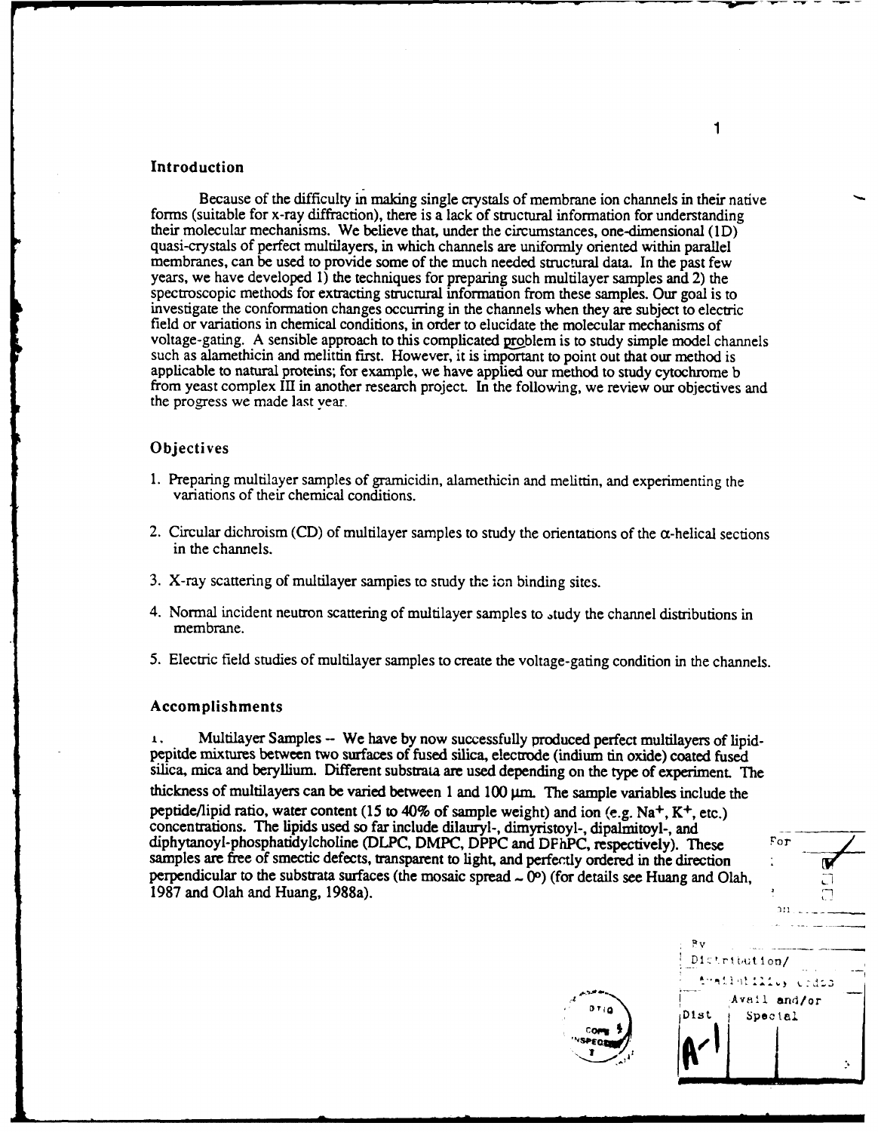### Introduction

Because of the difficulty in making single crystals of membrane ion channels in their native forms (suitable for x-ray diffraction), there is a lack of structural information for understanding<br>their molecular mechanisms. We believe that, under the circumstances, one-dimensional (1D)<br>quasi-crystals of perfect multi years, we have developed 1) the techniques for preparing such multilayer samples and 2) the spectroscopic methods for extracting structural information from these samples. Our goal is to investigate the conformation changes occurring in the channels when they are subject to electric field or variations in chemical conditions, in order to elucidate the molecular mechanisms of voltage-gating. A sensible approach to this complicated problem is to study simple model channels such as alamethicin and melittin first. However, it is important to point out that our method is applicable to natural proteins; for example, we have applied our method to study cytochrome b from yeast complex III in another research project. In the following, we review our objectives and the progress we made last year.

### **Objectives**

- 1. Preparing multilayer samples of gramicidin, alamethicin and melittin, and experimenting the variations of their chemical conditions.
- 2. Circular dichroism (CD) of multilayer samples to study the orientations of the  $\alpha$ -helical sections in the channels.
- 3. X-ray scattering of multilayer samples to study the ion binding sites.
- 4. Normal incident neutron scattering of multilayer samples to ,tudy the channel distributions in membrane.
- *5.* Electric field studies of multilayer samples to create the voltage-gating condition in the channels.

#### Accomplishments

**I.** Multilayer Samples **-** We have **by** now successfully produced perfect multilayers of lipid- pepitde mixtures between two surfaces of fused silica, electrode (indium tin oxide) coated fused silica, mica and beryllium. Different substrata are used depending on the type of experiment. The thickness of multilayers can be varied between 1 and 100  $\mu$ m. The sample variables include the peptide/lipid ratio, water content (15 to 40% of sample weight) and ion (e.g. Na<sup>+</sup>, K<sup>+</sup>, etc.) concentrations. The lipids used so far include dilauryl-, dimyristoyl-, dipalmitoyl-, and diphytanoyl-phosphatidylcholine (DLPC, DMPC, DPPC and DFhPC, respectively). These For samples are free of smectic defects, transparent to light, and perfectly ordered in the direction perpendicular to the substrata surfaces (the mosaic spread  $\sim$  0 $^{\circ}$ ) (for details see Huang and Olah, 1987 and Olah and Huang, 1988a).



Come

1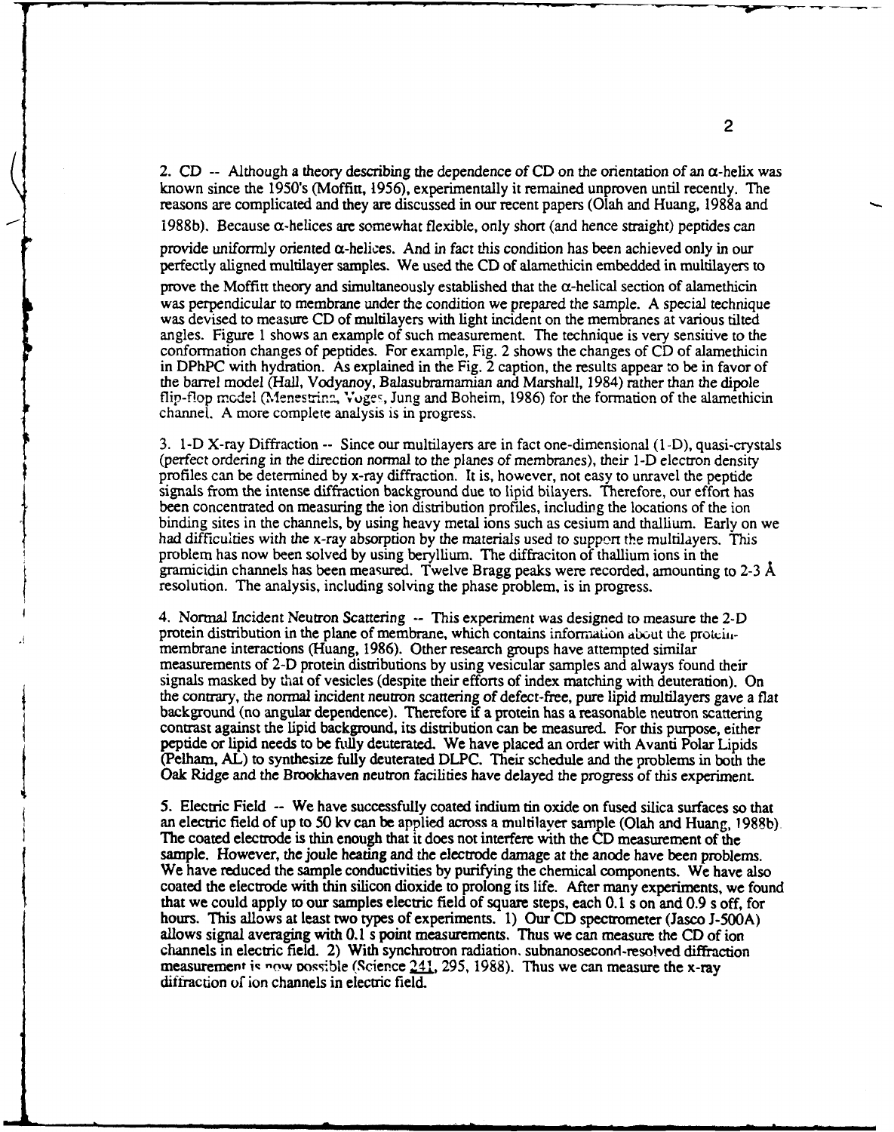2. CD -- Although a theory describing the dependence of CD on the orientation of an  $\alpha$ -helix was known since the 1950's (Moffitt, 1956), experimentally it remained unproven until recently. The reasons are complicated and they are discussed in our recent papers (Olah and Huang, 1988a and

1988b). Because  $\alpha$ -helices are somewhat flexible, only short (and hence straight) peptides can

provide uniformly oriented  $\alpha$ -helices. And in fact this condition has been achieved only in our perfectly aligned multilayer samples. We used the CD of alamethicin embedded in multilayers to

prove the Moffitt theory and simultaneously established that the  $\alpha$ -helical section of alamethicin was perpendicular to membrane under the condition we prepared the sample. A special technique was devised to measure CD of multilayers with light incident on the membranes at various tilted angles. Figure 1 shows an example of such measurement. The technique is very sensitive to the conformation changes of peptides. For example, Fig. 2 shows the changes of CD of alamethicin in DPhPC with hydration. As explained in the Fig. 2 caption, the results appear to be in favor of the barrel model (Hall, Vodyanoy, Balasubramamian and Marshall, 1984) rather than the dipole flip-flop model (Menestring, Voges, Jung and Boheim, 1986) for the formation of the alamethicin channel. A more complete analysis is in progress.

3. 1-D X-ray Diffraction -- Since our multilayers are in fact one-dimensional (1-D), quasi-crystals (perfect ordering in the direction normal to the planes of membranes), their 1-D electron density profiles can be determin been concentrated on measuring the ion distribution profiles, including the locations of the ion binding sites in the channels, by using heavy metal ions such as cesium and thallium. Early on we had difficulties with the x-ray absorption **by** the materials used to support the multilayers. This problem has now been solved by using beryllium. The diffraciton of thallium ions in the gramicidin channels has been measured. Twelve Bragg peaks were recorded, amounting to 2-3 A resolution. The analysis, including solving the phase problem, is in progress.

4. Normal Incident Neutron Scattering -- This experiment was designed to measure the 2-D protein distribution in the plane of membrane, which contains information about the protein-<br>membrane interactions (Huang, 1986). Other research groups have attempted similar measurements of 2-D protein distributions **by** using vesicular samples and always found their signals masked **by** that of vesicles (despite their efforts of index matching with deuteration). On the contrary, the normal incident neutron scattering of defect-free, pure lipid multilayers gave a flat background (no angular dependence). Therefore if a protein has a reasonable neutron scattering contrast against the lipid background, its distribution can be measured. For this purpose, either peptide or lipid needs to be fully deuterated. We have placed an order with Avanti Polar Lipids (Pelham, AL) to synthesize fully deuterated DLPC. Their schedule and the problems in both the Oak Ridge and the Brookhaven neutron facilities have delayed the progress of this experiment.

5. Electric Field -- We have successfully coated indium tin oxide on fused silica surfaces so that an electric field of up to 50 kv can be applied across a multilayer sample (Olah and Huang, 1988b). The coated electrode is thin enough that it does not interfere with the CD measurement of the sample. However, the joule heating and the electrode damage at the anode have been problems.<br>We have reduced the sample conductivities by purifying the chemical components. We have also coated the electrode with thin silicon dioxide to prolong its life. After many experiments, we found that we could apply to our samples electric field of square steps, each 0.1 s on and 0.9 s off, for hours. This allows at least two types of experiments. 1) Our **CD** spectrometer (Jasco J-500A) allows signal averaging with 0.1 s point measurements. Thus we can measure the CD of ion channels in electric field. 2) With synchrotron radiation. subnanosecond-resolved diffraction measurement is now possible (Science  $241$ , 295, 1988). Thus we can measure the x-ray diffraction of ion channels in electric field.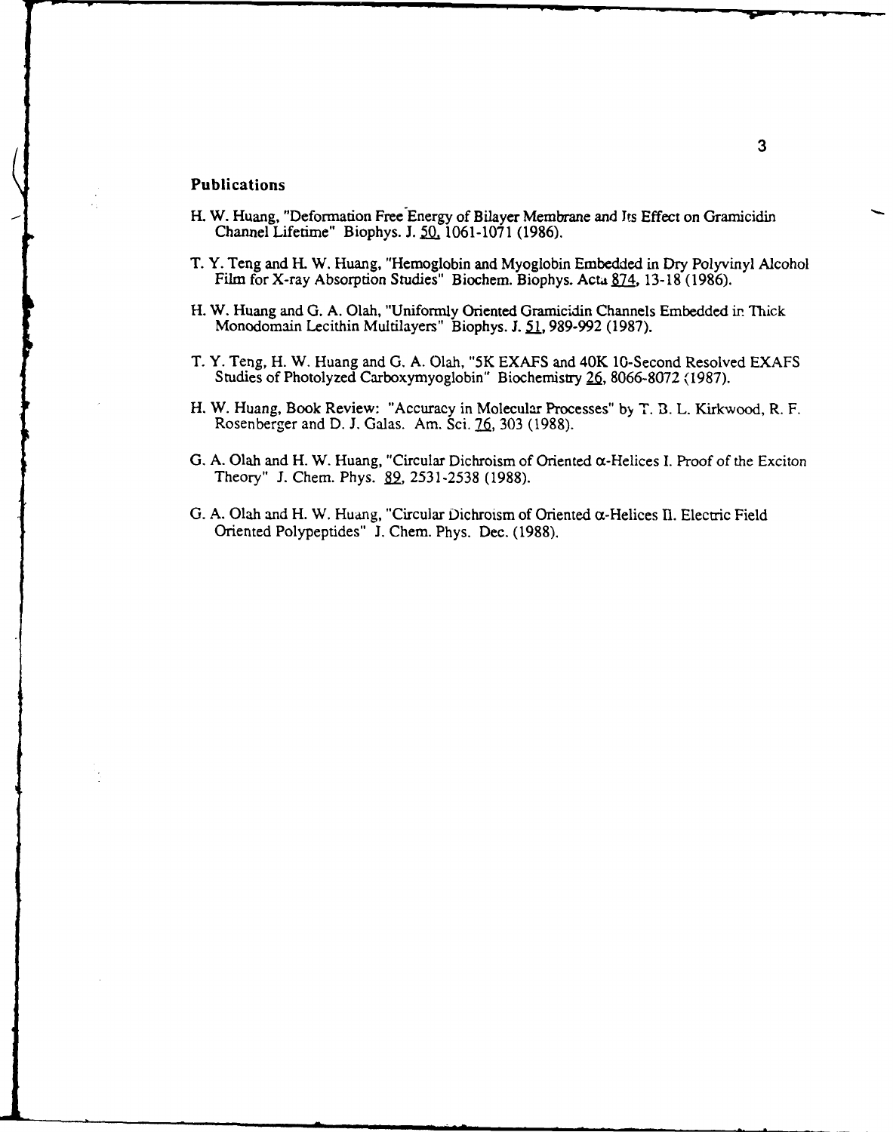# Publications

- H. W. Huang, "Deformation Free Energy of Bilayer Membrane and Its Effect on Gramicidin Channel Lifetime" Biophys. **J. 5L 1061-1071 (1986).**
- T. Y. Teng and H. W. Huang, "Hemoglobin and Myoglobin Embedded in Dry Polyvinyl Alcoho Film for X-ray Absorption Studies" Biochem. Biophys. Acta 874, 13-18 (1986).
- H. W. Huang and **G. A.** Olah, "Uniformly Oriented Gramicidin Channels Embedded ir Thick Monodomain Lecithin Multilayers" Biophys. J. 51, 989-992 (1987).
- T. Y. Teng, H. W. Huang and **G. A.** Olah, "5K **EXAFS** and 40K 10-Second Resolved **EXAFS** Studies of Photolyzed Carboxymyoglobin" Biochemistry **26, 8066-8072 (,1987).**
- H. W. Huang, Book Review: "Accuracy in Molecular Processes" **by T. 13.** L. **Kirkwood,** R. F. Rosenberger and D. J. Galas. Am. Sci. 76, 303 (1988).
- **G. A.** Olah and H. W. Huang, "Circular Dichroism of Oriented az-Helices **I.** Proof of the Exciton Theory" **J.** Chem. Phys. B2. *2531-2538* **(1988).**
- **G. A.** Olah and H. W. Huang, "Circular Dichroism of Oriented cc-Helices **11.** Electric Field Oriented Polypeptides" **J.** Chem. Phys. Dec. **(1988).**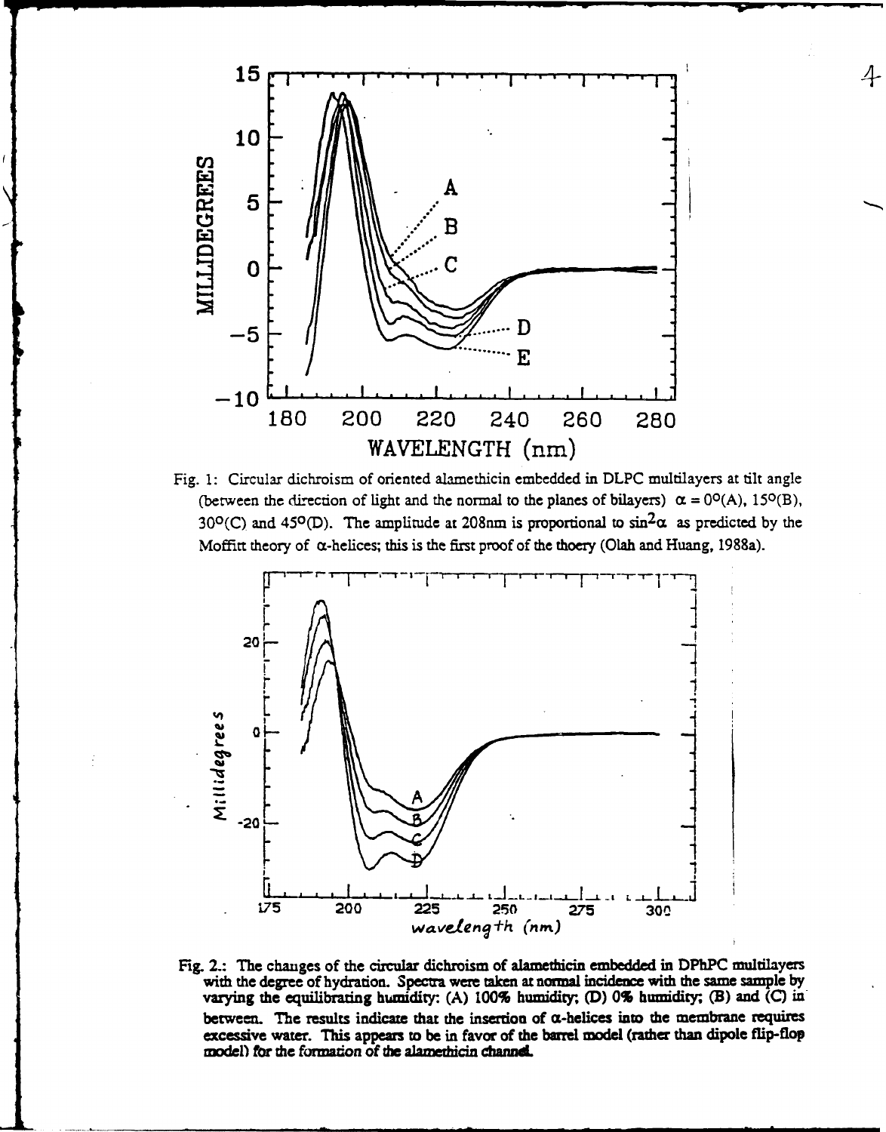

 $\overline{4}$ 

Fig. 1: Circular dichroism of oriented alamethicin embedded in DLPC multilayers at tilt angle (between the direction of light and the normal to the planes of bilayers)  $\alpha = 0^{\circ}(A)$ , 15<sup>o</sup>(B), 30°(C) and 45°(D). The amplitude at 208nm is proportional to  $sin^2\alpha$  as predicted by the Moffitt theory of α-helices; this is the first proof of the thoery (Olah and Huang, 1988a).



Fig. 2.: The changes of the circular dichroism of alamethicin embedded in DPhPC multilayers with the degree of hydration. Spectra were taken at normal incidence with the same sample by varying the equilibrating humidity: (A)  $100\%$  humidity; (D) 0% humidity; (B) and (C) in between. The results indicate that the insertion of  $\alpha$ -helices into the membrane requires excessive water. This appears to be in favor of the barrel model (rather than dipole flip-flop model) for the formation of the alamethicin channel.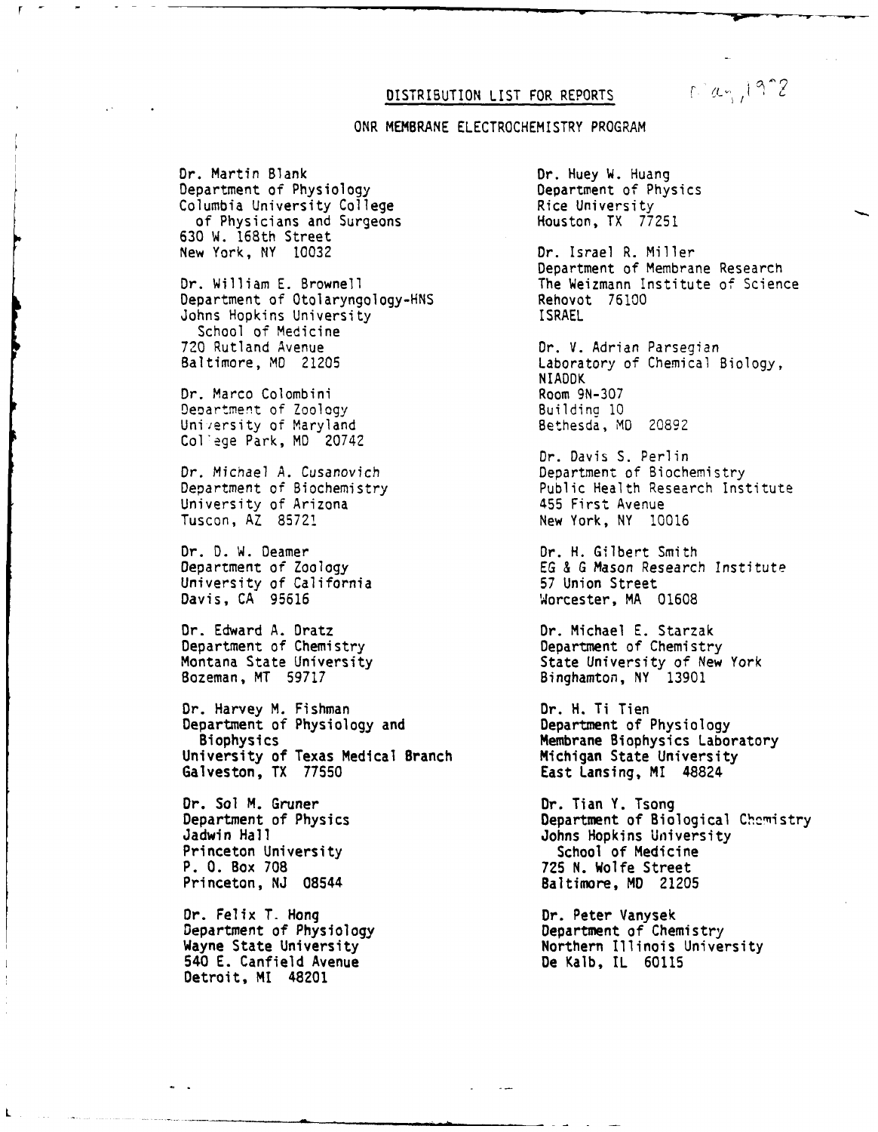## DISTRIBUTION LIST FOR REPORTS

# ONR MEMBRANE ELECTROCHEMISTRY PROGRAM

Dr. Martin Blank<br>Department of Physiology and Department of Physics Department of Physiology<br>
Columbia University College The Rice University Columbia University College Rice University<br>
Of Physicians and Surgeons Houston, TX 77251 of Physicians and Surgeons 630 W. 168th Street

Department of Otolaryngology-HNS Rehovot 76100 Johns Hopkins University School of Medicine<br>720 Rutland Avenue 720 Rutland Avenue Dr. V. Adrian Parsegian<br>Baltimore, MD 21205 Caboratory of Chemical E

Dr. Marco Colombini Room 9N-307<br>Department of Zoology Ruilding 10 Department of Zoology University of Maryland Bethesda, MD 20892 College Park, MD 20742

Dr. Michael A. Cusanovich Department of Biochemistry University of Arizona 455 First Avenue

Dr. D. W. Deamer<br>
Department of Zoology<br>
Department of Zoology<br>
CG & G Mason Research University of California<br>Davis, CA 95616

Dr. Edward A. Dratz Dr. Michael E. Starzak Department of Chemistry **Department of Chemistry** Bozeman, MT 59717 Binghamton, NY 13901

Dr. Harvey M. Fishman<br>Department of Physiology and Department of Physiology Department of Physiology and Biophysics<br>iversity of Texas Medical Branch Michigan State University University of Texas Medical Branch<br>Galveston, TX 77550

Dr. Sol M. Gruner **Dr. Tian Y. Tsong** Princeton University School of Medicine<br>
P. O. Box 708 308 725 N. Wolfe Street Princeton, NJ 08544 Baltimore, MD 21205

Dr. Felix T. Hong Dr. Peter Vanysek Department of Physiology Department of Chemistry **540** E. Canfield Avenue De Kalb, IL 60115 Detroit, MI 48201

L

Dr. Israel R. Miller Department of Membrane Research Dr. William E. Brownell **The Weizmann Institute of Science**<br>Department of Otolaryngology-HNS **Rehovot 76100** 

> Laboratory of Chemical Biology, **NIADDK**

Dr. Davis S. Perlin<br>Department of Biochemistry Public Health Research Institute New York, NY 10016

EG & G Mason Research Institute<br>57 Union Street Worcester, MA 01608

Montana State University **State University of New York** 

East Lansing, MI 48824

Department of Physics Department of Biological Chcmistry Jadwin Hall Johns Hopkins University **P. 0.** Box **708 725** N. Wolfe Street

Wayne State University **Northern Illinois University**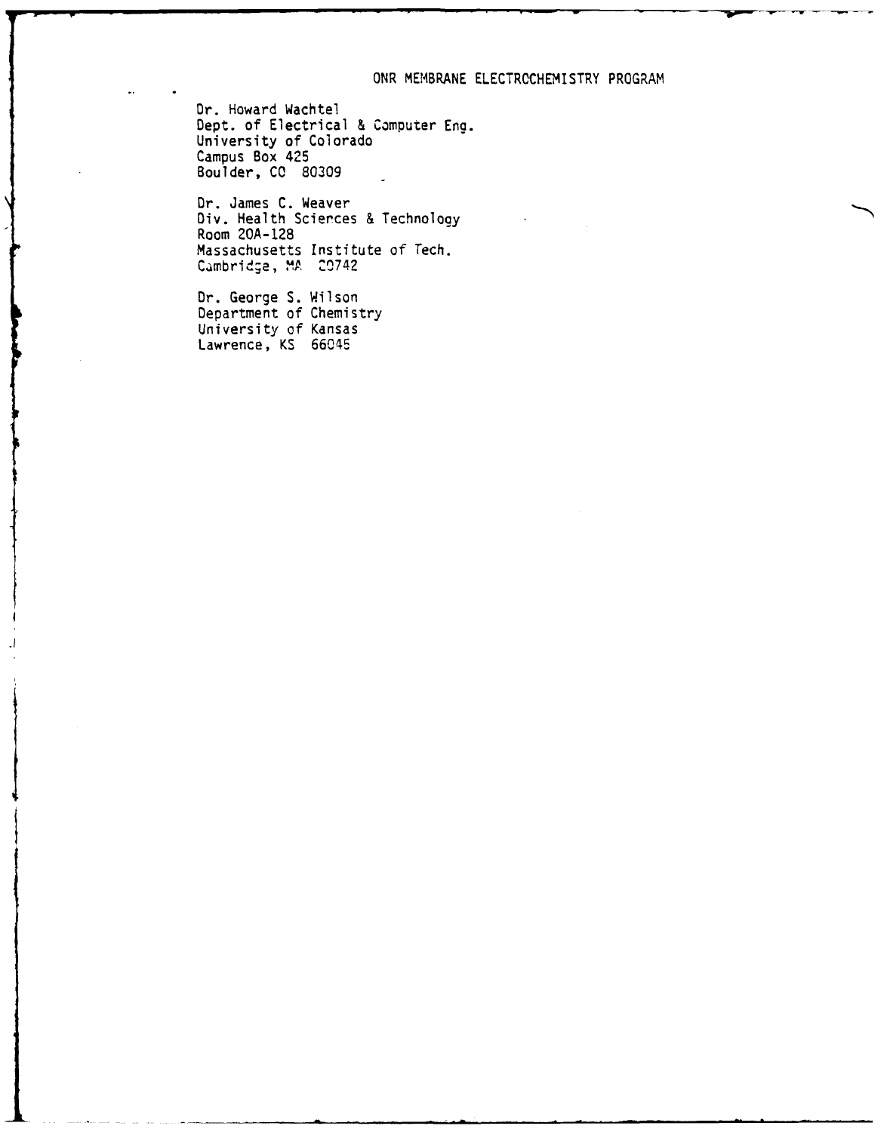## ONR MEMBRANE ELECTROCHEMISTRY PROGRAM

Dr. Howard Wachtel Dept. of Electrical & Computer Eng. University of Colorado Campus Box 425 Boulder, **CC** 80309

Dr. James C. Weaver Div. Health Scierces & Technology Room 20A-128 Massachusetts Institute of Tech. Cambridge, MA 20742

Dr. George S. Wilson Department of Chemistry University of Kansas Lawrence, KS 66045